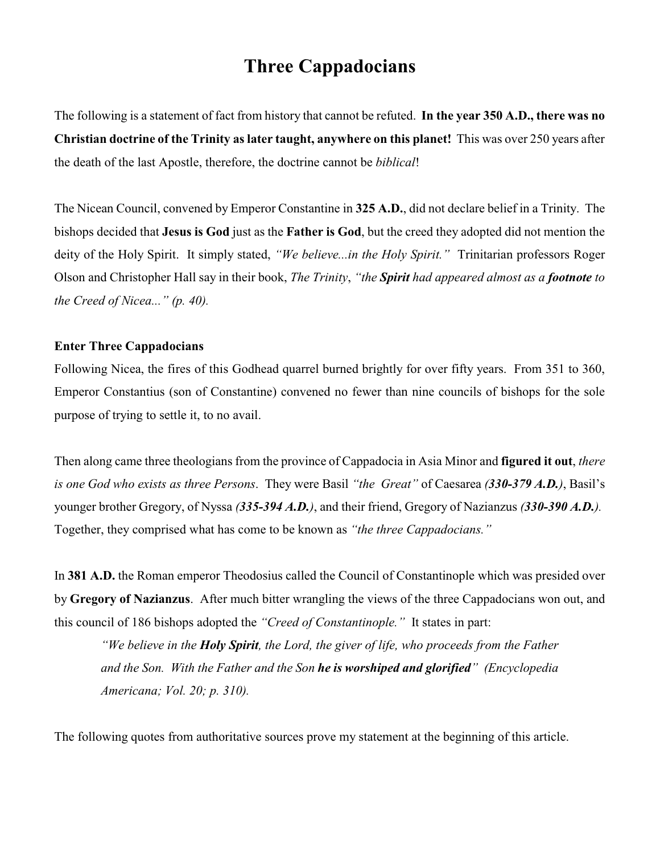# **Three Cappadocians**

The following is a statement of fact from history that cannot be refuted. **In the year 350 A.D., there was no Christian doctrine of the Trinity as later taught, anywhere on this planet!** This was over 250 years after the death of the last Apostle, therefore, the doctrine cannot be *biblical*!

The Nicean Council, convened by Emperor Constantine in **325 A.D.**, did not declare belief in a Trinity. The bishops decided that **Jesus is God** just as the **Father is God**, but the creed they adopted did not mention the deity of the Holy Spirit. It simply stated, *"We believe...in the Holy Spirit."* Trinitarian professors Roger Olson and Christopher Hall say in their book, *The Trinity*, *"the Spirit had appeared almost as a footnote to the Creed of Nicea..." (p. 40).*

#### **Enter Three Cappadocians**

Following Nicea, the fires of this Godhead quarrel burned brightly for over fifty years. From 351 to 360, Emperor Constantius (son of Constantine) convened no fewer than nine councils of bishops for the sole purpose of trying to settle it, to no avail.

Then along came three theologians from the province of Cappadocia in Asia Minor and **figured it out**, *there is one God who exists as three Persons*. They were Basil *"the Great"* of Caesarea *(330-379 A.D.)*, Basil's younger brother Gregory, of Nyssa *(335-394 A.D.)*, and their friend, Gregory of Nazianzus *(330-390 A.D.).*  Together, they comprised what has come to be known as *"the three Cappadocians."*

In **381 A.D.** the Roman emperor Theodosius called the Council of Constantinople which was presided over by **Gregory of Nazianzus**. After much bitter wrangling the views of the three Cappadocians won out, and this council of 186 bishops adopted the *"Creed of Constantinople."* It states in part:

*"We believe in the Holy Spirit, the Lord, the giver of life, who proceeds from the Father and the Son. With the Father and the Son he is worshiped and glorified" (Encyclopedia Americana; Vol. 20; p. 310).*

The following quotes from authoritative sources prove my statement at the beginning of this article.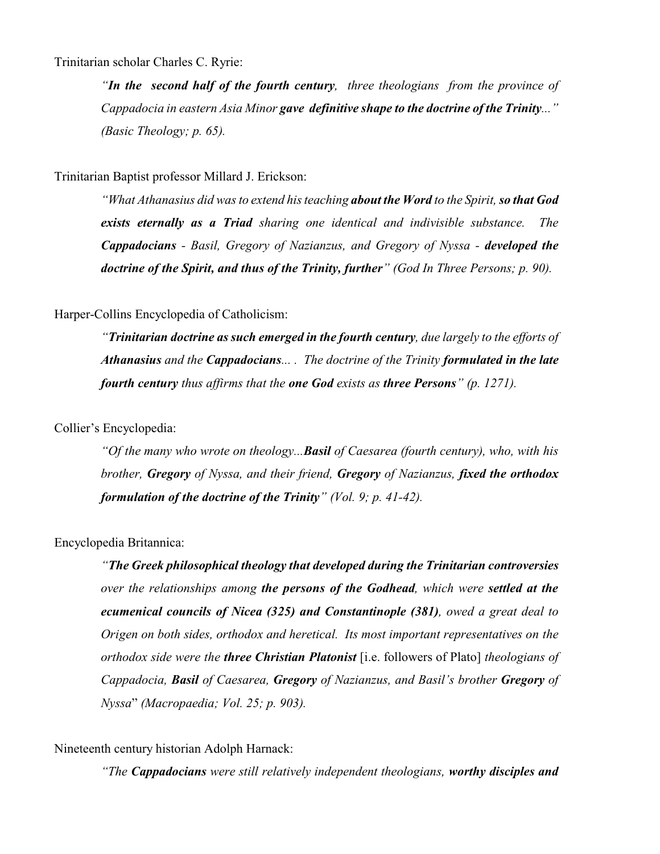Trinitarian scholar Charles C. Ryrie:

*"In the second half of the fourth century, three theologians from the province of Cappadocia in eastern Asia Minor gave definitive shape to the doctrine of the Trinity..." (Basic Theology; p. 65).*

Trinitarian Baptist professor Millard J. Erickson:

*"What Athanasius did was to extend his teaching about the Word to the Spirit, so that God exists eternally as a Triad sharing one identical and indivisible substance. The Cappadocians - Basil, Gregory of Nazianzus, and Gregory of Nyssa - developed the doctrine of the Spirit, and thus of the Trinity, further" (God In Three Persons; p. 90).*

## Harper-Collins Encyclopedia of Catholicism:

*"Trinitarian doctrine as such emerged in the fourth century, due largely to the efforts of Athanasius and the Cappadocians... . The doctrine of the Trinity formulated in the late fourth century thus affirms that the one God exists as three Persons" (p. 1271).*

## Collier's Encyclopedia:

*"Of the many who wrote on theology...Basil of Caesarea (fourth century), who, with his brother, Gregory of Nyssa, and their friend, Gregory of Nazianzus, fixed the orthodox formulation of the doctrine of the Trinity" (Vol. 9; p. 41-42).*

Encyclopedia Britannica:

*"The Greek philosophical theology that developed during the Trinitarian controversies over the relationships among the persons of the Godhead, which were settled at the ecumenical councils of Nicea (325) and Constantinople (381), owed a great deal to Origen on both sides, orthodox and heretical. Its most important representatives on the orthodox side were the three Christian Platonist* [i.e. followers of Plato] *theologians of Cappadocia, Basil of Caesarea, Gregory of Nazianzus, and Basil's brother Gregory of Nyssa*" *(Macropaedia; Vol. 25; p. 903).*

Nineteenth century historian Adolph Harnack:

*"The Cappadocians were still relatively independent theologians, worthy disciples and*